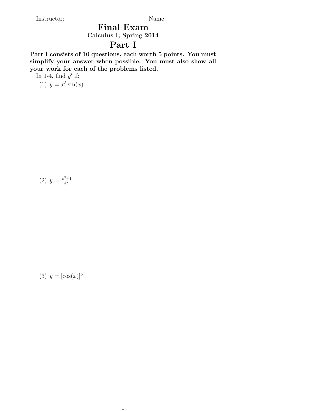Instructor: Name:

## Final Exam Calculus I; Spring 2014

## Part I

Part I consists of 10 questions, each worth 5 points. You must simplify your answer when possible. You must also show all your work for each of the problems listed.

In 1-4, find  $y'$  if:

(1)  $y = x^5 \sin(x)$ 

$$
(2) \ y = \frac{x^3 + 1}{e^x}
$$

(3)  $y = [\cos(x)]^5$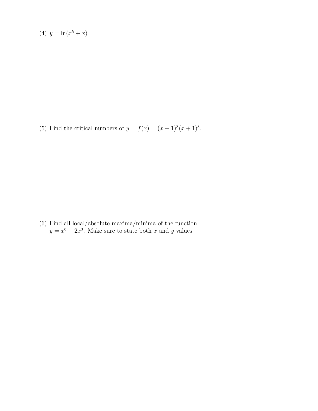(4) 
$$
y = \ln(x^5 + x)
$$

(5) Find the critical numbers of  $y = f(x) = (x - 1)^3(x + 1)^3$ .

(6) Find all local/absolute maxima/minima of the function  $y = x^6 - 2x^3$ . Make sure to state both x and y values.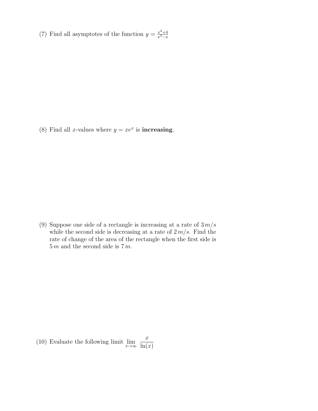(7) Find all asymptotes of the function  $y = \frac{x^2+4}{x^3-x}$  $x^3-x$ 

(8) Find all *x*-values where  $y = xe^x$  is **increasing**.

(9) Suppose one side of a rectangle is increasing at a rate of  $3 m/s$ while the second side is decreasing at a rate of  $2 m/s$ . Find the rate of change of the area of the rectangle when the first side is  $5 m$  and the second side is  $7 m$ .

(10) Evaluate the following limit  $\lim_{x\to\infty}$  $\overline{x}$  $ln(x)$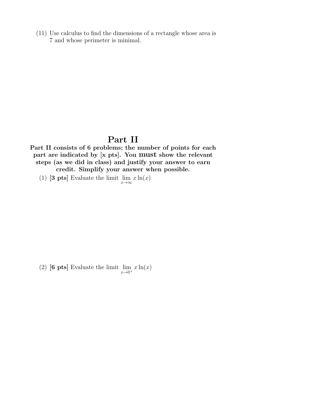(11) Use calculus to find the dimensions of a rectangle whose area is 7 and whose perimeter is minimal.

## Part II

Part II consists of 6 problems; the number of points for each part are indicated by [x pts]. You must show the relevant steps (as we did in class) and justify your answer to earn credit. Simplify your answer when possible.

(1) [3 pts] Evaluate the limit  $\lim_{x\to\infty} x \ln(x)$ 

(2) [6 pts] Evaluate the limit  $\lim_{x\to 0^+} x \ln(x)$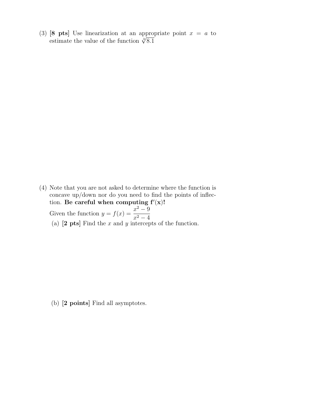(3) [8 pts] Use linearization at an appropriate point  $x = a$  to **S** pus use inteatization at an approximate the value of the function  $\sqrt[3]{8.1}$ 

(4) Note that you are not asked to determine where the function is concave up/down nor do you need to find the points of inflection. Be careful when computing  $f'(x)!$ Given the function  $y = f(x) = \frac{x^2 - 9}{x^2 - 4}$  $x^2-4$ (a)  $[2 \text{ pts}]$  Find the x and y intercepts of the function.

(b) [2 points] Find all asymptotes.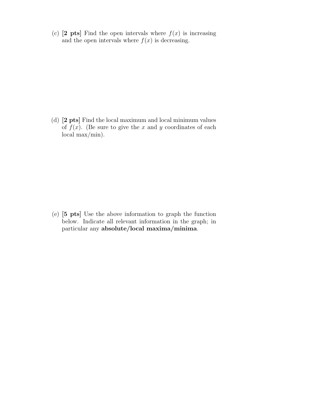(c)  $[2 \text{pts}]$  Find the open intervals where  $f(x)$  is increasing and the open intervals where  $f(x)$  is decreasing.

(d) [2 pts] Find the local maximum and local minimum values of  $f(x)$ . (Be sure to give the x and y coordinates of each local max/min).

(e) [5 pts] Use the above information to graph the function below. Indicate all relevant information in the graph; in particular any absolute/local maxima/minima.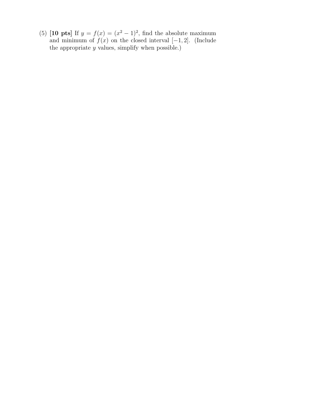(5) [10 pts] If  $y = f(x) = (x^2 - 1)^2$ , find the absolute maximum and minimum of  $f(x)$  on the closed interval  $[-1, 2]$ . (Include the appropriate  $y$  values, simplify when possible.)